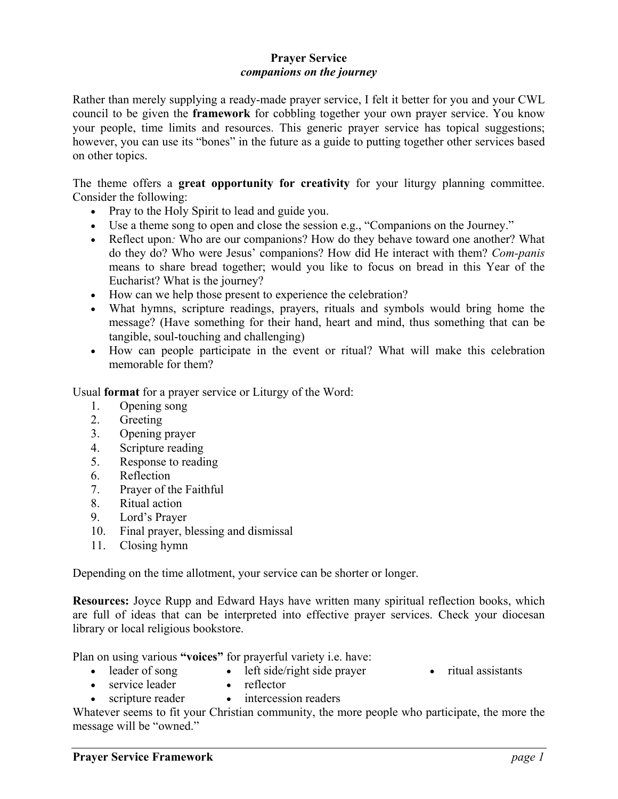## **Prayer Service**  *companions on the journey*

Rather than merely supplying a ready-made prayer service, I felt it better for you and your CWL council to be given the **framework** for cobbling together your own prayer service. You know your people, time limits and resources. This generic prayer service has topical suggestions; however, you can use its "bones" in the future as a guide to putting together other services based on other topics.

The theme offers a **great opportunity for creativity** for your liturgy planning committee. Consider the following:

- Pray to the Holy Spirit to lead and guide you.
- Use a theme song to open and close the session e.g., "Companions on the Journey."
- Reflect upon*:* Who are our companions? How do they behave toward one another? What do they do? Who were Jesus' companions? How did He interact with them? *Com-panis* means to share bread together; would you like to focus on bread in this Year of the Eucharist? What is the journey?
- How can we help those present to experience the celebration?
- What hymns, scripture readings, prayers, rituals and symbols would bring home the message? (Have something for their hand, heart and mind, thus something that can be tangible, soul-touching and challenging)
- How can people participate in the event or ritual? What will make this celebration memorable for them?

Usual **format** for a prayer service or Liturgy of the Word:

- 1. Opening song
- 2. Greeting
- 3. Opening prayer
- 4. Scripture reading
- 5. Response to reading
- 6. Reflection
- 7. Prayer of the Faithful
- 8. Ritual action
- 9. Lord's Prayer
- 10. Final prayer, blessing and dismissal
- 11. Closing hymn

Depending on the time allotment, your service can be shorter or longer.

**Resources:** Joyce Rupp and Edward Hays have written many spiritual reflection books, which are full of ideas that can be interpreted into effective prayer services. Check your diocesan library or local religious bookstore.

Plan on using various **"voices"** for prayerful variety i.e. have:

- leader of song
- left side/right side prayer • reflector
- ritual assistants
- service leader • scripture reader
- intercession readers

Whatever seems to fit your Christian community, the more people who participate, the more the message will be "owned."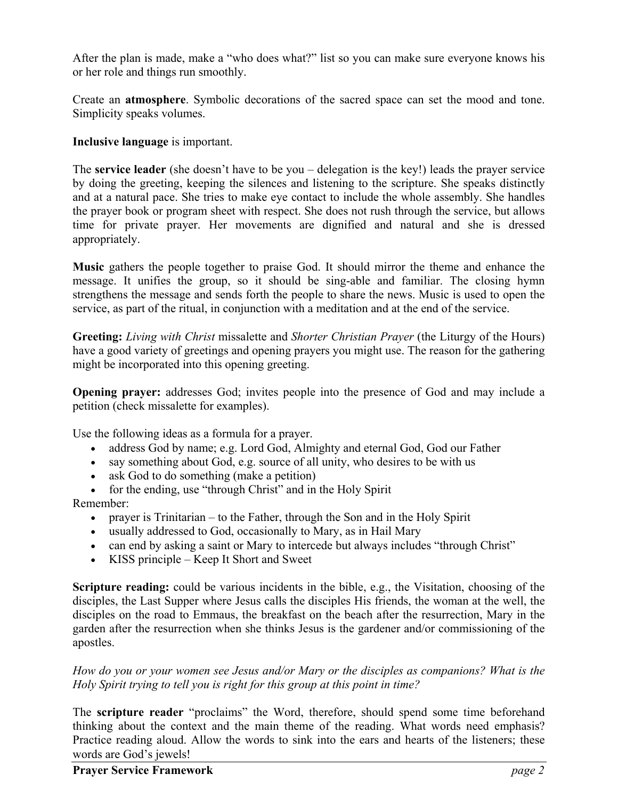After the plan is made, make a "who does what?" list so you can make sure everyone knows his or her role and things run smoothly.

Create an **atmosphere**. Symbolic decorations of the sacred space can set the mood and tone. Simplicity speaks volumes.

**Inclusive language** is important.

The **service leader** (she doesn't have to be you – delegation is the key!) leads the prayer service by doing the greeting, keeping the silences and listening to the scripture. She speaks distinctly and at a natural pace. She tries to make eye contact to include the whole assembly. She handles the prayer book or program sheet with respect. She does not rush through the service, but allows time for private prayer. Her movements are dignified and natural and she is dressed appropriately.

**Music** gathers the people together to praise God. It should mirror the theme and enhance the message. It unifies the group, so it should be sing-able and familiar. The closing hymn strengthens the message and sends forth the people to share the news. Music is used to open the service, as part of the ritual, in conjunction with a meditation and at the end of the service.

**Greeting:** *Living with Christ* missalette and *Shorter Christian Prayer* (the Liturgy of the Hours) have a good variety of greetings and opening prayers you might use. The reason for the gathering might be incorporated into this opening greeting.

**Opening prayer:** addresses God; invites people into the presence of God and may include a petition (check missalette for examples).

Use the following ideas as a formula for a prayer.

- address God by name; e.g. Lord God, Almighty and eternal God, God our Father
- say something about God, e.g. source of all unity, who desires to be with us
- ask God to do something (make a petition)
- for the ending, use "through Christ" and in the Holy Spirit

Remember:

- prayer is Trinitarian to the Father, through the Son and in the Holy Spirit
- usually addressed to God, occasionally to Mary, as in Hail Mary
- can end by asking a saint or Mary to intercede but always includes "through Christ"
- KISS principle Keep It Short and Sweet

**Scripture reading:** could be various incidents in the bible, e.g., the Visitation, choosing of the disciples, the Last Supper where Jesus calls the disciples His friends, the woman at the well, the disciples on the road to Emmaus, the breakfast on the beach after the resurrection, Mary in the garden after the resurrection when she thinks Jesus is the gardener and/or commissioning of the apostles.

*How do you or your women see Jesus and/or Mary or the disciples as companions? What is the Holy Spirit trying to tell you is right for this group at this point in time?*

The **scripture reader** "proclaims" the Word, therefore, should spend some time beforehand thinking about the context and the main theme of the reading. What words need emphasis? Practice reading aloud. Allow the words to sink into the ears and hearts of the listeners; these words are God's jewels!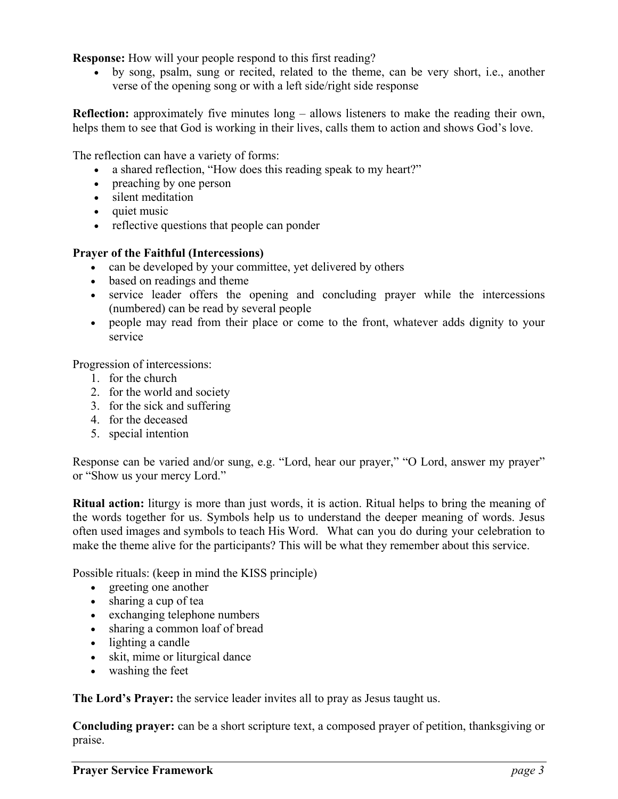**Response:** How will your people respond to this first reading?

• by song, psalm, sung or recited, related to the theme, can be very short, i.e., another verse of the opening song or with a left side/right side response

**Reflection:** approximately five minutes long – allows listeners to make the reading their own, helps them to see that God is working in their lives, calls them to action and shows God's love.

The reflection can have a variety of forms:

- a shared reflection, "How does this reading speak to my heart?"
- preaching by one person
- silent meditation
- quiet music
- reflective questions that people can ponder

## **Prayer of the Faithful (Intercessions)**

- can be developed by your committee, yet delivered by others
- based on readings and theme
- service leader offers the opening and concluding prayer while the intercessions (numbered) can be read by several people
- people may read from their place or come to the front, whatever adds dignity to your service

Progression of intercessions:

- 1. for the church
- 2. for the world and society
- 3. for the sick and suffering
- 4. for the deceased
- 5. special intention

Response can be varied and/or sung, e.g. "Lord, hear our prayer," "O Lord, answer my prayer" or "Show us your mercy Lord."

**Ritual action:** liturgy is more than just words, it is action. Ritual helps to bring the meaning of the words together for us. Symbols help us to understand the deeper meaning of words. Jesus often used images and symbols to teach His Word. What can you do during your celebration to make the theme alive for the participants? This will be what they remember about this service.

Possible rituals: (keep in mind the KISS principle)

- greeting one another
- sharing a cup of tea
- exchanging telephone numbers
- sharing a common loaf of bread
- lighting a candle
- skit, mime or liturgical dance
- washing the feet

**The Lord's Prayer:** the service leader invites all to pray as Jesus taught us.

**Concluding prayer:** can be a short scripture text, a composed prayer of petition, thanksgiving or praise.